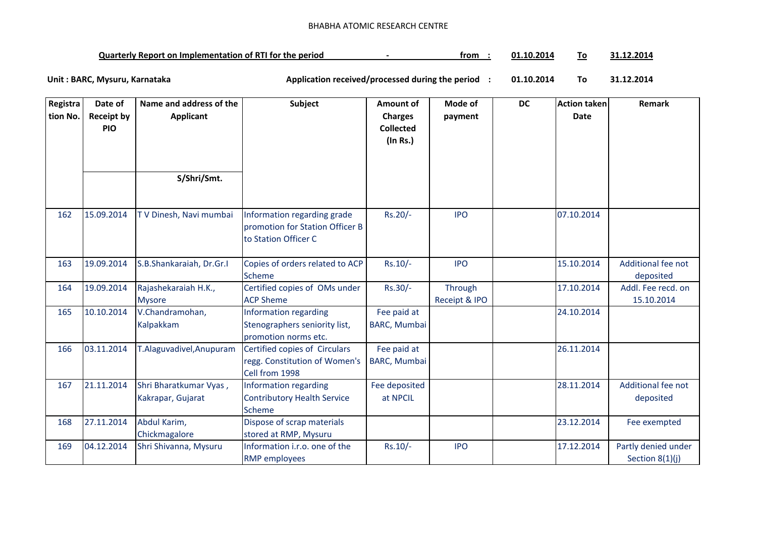## BHABHA ATOMIC RESEARCH CENTRE

| <b>Quarterly Report on Implementation of RTI for the period</b> |  | trom | 01.10.2014 |  | $1.12.201^{\circ}$ |
|-----------------------------------------------------------------|--|------|------------|--|--------------------|
|-----------------------------------------------------------------|--|------|------------|--|--------------------|

**01.10.2014 To 31.12.2014** Unit : BARC, Mysuru, Karnataka **Alexander States and Application received/processed during the period** :

| Registra | Date of                         | Name and address of the                     | Subject                                                                                | Amount of                                      | Mode of                  | <b>DC</b> | <b>Action taken</b> | Remark                                   |
|----------|---------------------------------|---------------------------------------------|----------------------------------------------------------------------------------------|------------------------------------------------|--------------------------|-----------|---------------------|------------------------------------------|
| tion No. | <b>Receipt by</b><br><b>PIO</b> | Applicant                                   |                                                                                        | <b>Charges</b><br><b>Collected</b><br>(In Rs.) | payment                  |           | <b>Date</b>         |                                          |
|          |                                 |                                             |                                                                                        |                                                |                          |           |                     |                                          |
|          |                                 | S/Shri/Smt.                                 |                                                                                        |                                                |                          |           |                     |                                          |
| 162      | 15.09.2014                      | TV Dinesh, Navi mumbai                      | Information regarding grade<br>promotion for Station Officer B<br>to Station Officer C | Rs.20/-                                        | <b>IPO</b>               |           | 07.10.2014          |                                          |
| 163      | 19.09.2014                      | S.B.Shankaraiah, Dr.Gr.I                    | Copies of orders related to ACP<br>Scheme                                              | Rs.10/-                                        | <b>IPO</b>               |           | 15.10.2014          | Additional fee not<br>deposited          |
| 164      | 19.09.2014                      | Rajashekaraiah H.K.,<br><b>Mysore</b>       | Certified copies of OMs under<br><b>ACP Sheme</b>                                      | Rs.30/-                                        | Through<br>Receipt & IPO |           | 17.10.2014          | Addl. Fee recd. on<br>15.10.2014         |
| 165      | 10.10.2014                      | V.Chandramohan,<br><b>Kalpakkam</b>         | Information regarding<br>Stenographers seniority list,<br>promotion norms etc.         | Fee paid at<br><b>BARC, Mumbai</b>             |                          |           | 24.10.2014          |                                          |
| 166      | 03.11.2014                      | T.Alaguvadivel, Anupuram                    | Certified copies of Circulars<br>regg. Constitution of Women's<br>Cell from 1998       | Fee paid at<br><b>BARC, Mumbai</b>             |                          |           | 26.11.2014          |                                          |
| 167      | 21.11.2014                      | Shri Bharatkumar Vyas,<br>Kakrapar, Gujarat | Information regarding<br><b>Contributory Health Service</b><br><b>Scheme</b>           | Fee deposited<br>at NPCIL                      |                          |           | 28.11.2014          | Additional fee not<br>deposited          |
| 168      | 27.11.2014                      | Abdul Karim,<br>Chickmagalore               | Dispose of scrap materials<br>stored at RMP, Mysuru                                    |                                                |                          |           | 23.12.2014          | Fee exempted                             |
| 169      | 04.12.2014                      | Shri Shivanna, Mysuru                       | Information i.r.o. one of the<br><b>RMP</b> employees                                  | $Rs.10/-$                                      | <b>IPO</b>               |           | 17.12.2014          | Partly denied under<br>Section $8(1)(j)$ |